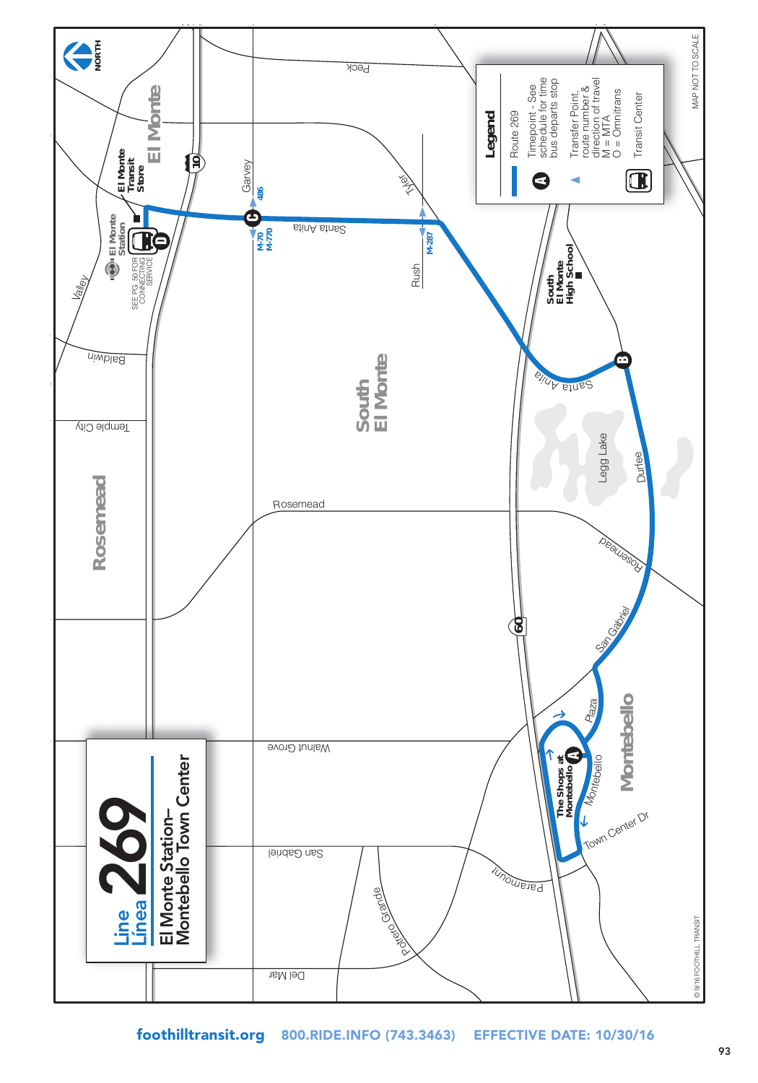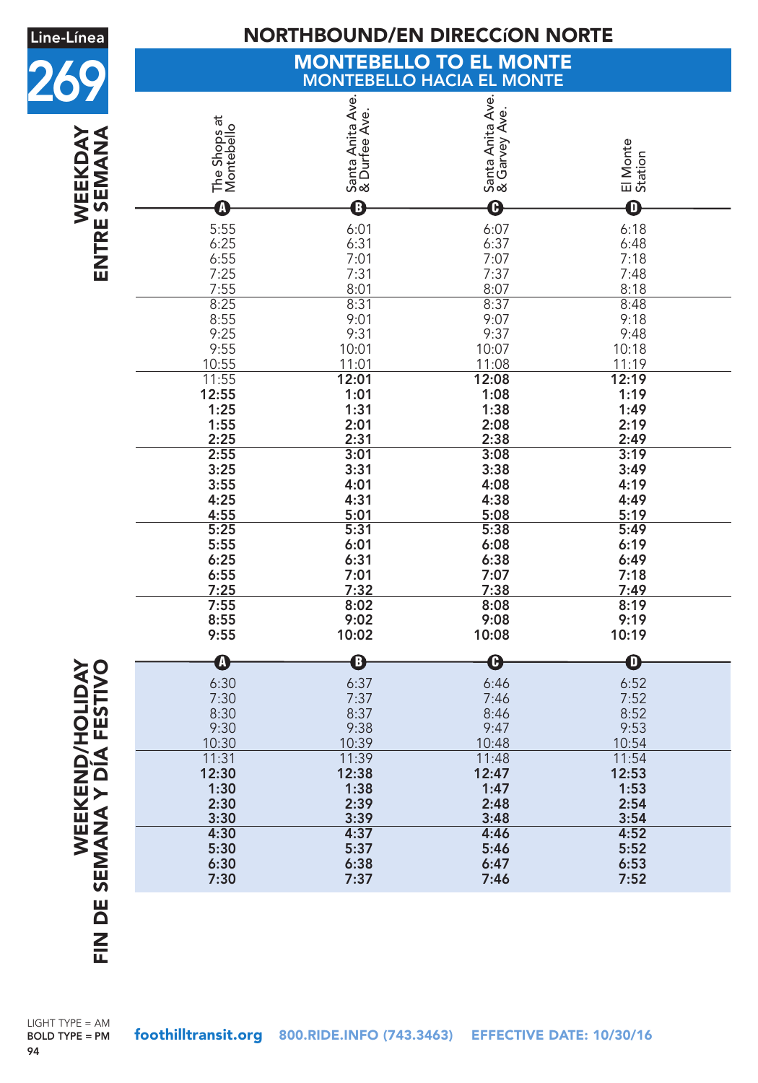| Line-Línea                                      | <b>NORTHBOUND/EN DIRECCION NORTE</b>                      |                                              |                                                                   |                                                                   |  |  |  |
|-------------------------------------------------|-----------------------------------------------------------|----------------------------------------------|-------------------------------------------------------------------|-------------------------------------------------------------------|--|--|--|
|                                                 | <b>MONTEBELLO TO EL MONTE</b>                             |                                              |                                                                   |                                                                   |  |  |  |
|                                                 | <b>MONTEBELLO HACIA EL MONTE</b>                          |                                              |                                                                   |                                                                   |  |  |  |
| WEEKDAY<br>ENTRE SEMANA                         | The Shops at<br>Montebello                                | Santa Anita Ave.<br>& Durfee Ave.            | Santa Anita Ave.<br>& Garvey Ave.                                 | El Monte<br>Station                                               |  |  |  |
|                                                 | $\boldsymbol{\Omega}$                                     | $\mathbf 0$                                  | $\boldsymbol{\Theta}$                                             | 0                                                                 |  |  |  |
|                                                 | 5:55<br>$6:25$<br>$6:55$<br>7:25<br>$\frac{7:55}{8:25}$   | 6:01<br>6:31<br>7:01<br>7:31<br>8:01<br>8:31 | $6:07$<br>$6:37$<br>7:07<br>7:37<br>$\frac{8:07}{8:37}$           | 6:18<br>6:48<br>7:18<br>7:48<br>8:18<br>8:48                      |  |  |  |
|                                                 | 8:55<br>9:25<br>9:55<br>10:55                             | 9:01<br>9:31<br>10:01<br>11:01               | 9:07<br>9:37<br>10:07<br>11:08                                    | 9:18<br>9:48<br>10:18<br>11:19                                    |  |  |  |
|                                                 | 11:55<br>12:55<br>1:25<br>1:55<br>2:25                    | 12:01<br>1:01<br>1:31<br>2:01<br>2:31        | 12:08<br>1:08<br>1:38<br>2:08<br>2:38                             | 12:19<br>1:19<br>1:49<br>2:19<br>2:49                             |  |  |  |
|                                                 | 2:55<br>3:25<br>3:55<br>4:25<br>4:55                      | 3:01<br>3:31<br>4:01<br>4:31<br>5:01         | 3:08<br>3:38<br>4:08<br>4:38<br>5:08                              | 3:19<br>3:49<br>4:19<br>4:49<br>5:19                              |  |  |  |
|                                                 | 5:25<br>5:55<br>6:25<br>6:55<br>7:25                      | 5:31<br>6:01<br>6:31<br>7:01<br>7:32         | 5:38<br>6:08<br>6:38<br>7:07<br>7:38                              | 5:49<br>6:19<br>6:49<br>7:18<br>7:49                              |  |  |  |
|                                                 | 7:55<br>8:55<br>9:55                                      | 8:02<br>9:02<br>10:02                        | 8:08<br>9:08<br>10:08                                             | 8:19<br>9:19<br>10:19                                             |  |  |  |
| <b>DAY</b><br>120                               | $\boldsymbol{0}$<br>6:30<br>7:30<br>8:30<br>9:30<br>10:30 | B<br>6:37<br>1:31<br>8:37<br>9:38<br>10:39   | $\boldsymbol{\Theta}$<br>6:46<br>$/$ :46<br>8:46<br>9:47<br>10:48 | $\boldsymbol{\mathsf{D}}$<br>6:52<br>/32<br>8:52<br>9:53<br>10:54 |  |  |  |
| <b>WEEKEND/HOLI<br/>IN DE SEMANA Y DÍA FEST</b> | 11:31<br>12:30<br>1:30<br>2:30<br>3:30                    | 11:39<br>12:38<br>1:38<br>2:39<br>3:39       | 11:48<br>12:47<br>1:47<br>2:48<br>3:48                            | 11:54<br>12:53<br>1:53<br>2:54<br>3:54                            |  |  |  |
|                                                 | 4:30<br>5:30<br>6:30<br>7:30                              | 4:37<br>5:37<br>6:38<br>7:37                 | 4:46<br>5:46<br>6:47<br>7:46                                      | 4:52<br>5:52<br>6:53<br>7:52                                      |  |  |  |
|                                                 |                                                           |                                              |                                                                   |                                                                   |  |  |  |